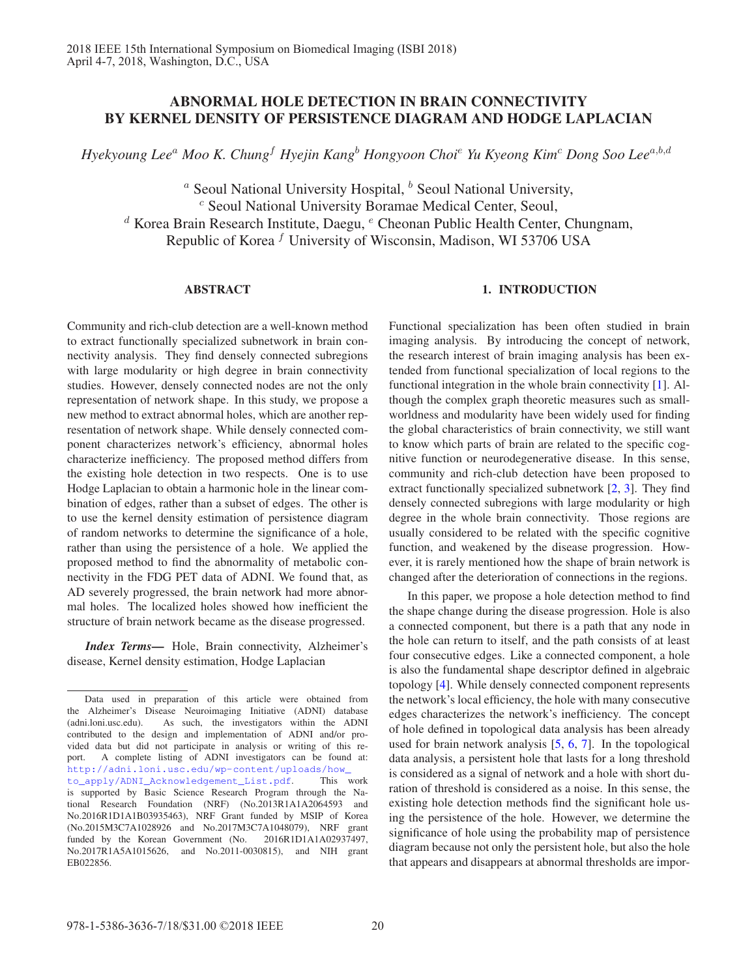# ABNORMAL HOLE DETECTION IN BRAIN CONNECTIVITY BY KERNEL DENSITY OF PERSISTENCE DIAGRAM AND HODGE LAPLACIAN

*Hyekyoung Lee*<sup>a</sup> *Moo K. Chung*<sup>f</sup> *Hyejin Kang*<sup>b</sup> *Hongyoon Choi*<sup>e</sup> *Yu Kyeong Kim*<sup>c</sup> *Dong Soo Lee*a,b,d

<sup>a</sup> Seoul National University Hospital,  $\frac{b}{c}$  Seoul National University,  $\frac{c}{c}$  Seoul National University Boramae Medical Center, Seoul,  $d$  Korea Brain Research Institute, Daegu,  $e$  Cheonan Public Health Center, Chungnam, Republic of Korea  $f$  University of Wisconsin, Madison, WI 53706 USA

## ABSTRACT

Community and rich-club detection are a well-known method to extract functionally specialized subnetwork in brain connectivity analysis. They find densely connected subregions with large modularity or high degree in brain connectivity studies. However, densely connected nodes are not the only representation of network shape. In this study, we propose a new method to extract abnormal holes, which are another representation of network shape. While densely connected component characterizes network's efficiency, abnormal holes characterize inefficiency. The proposed method differs from the existing hole detection in two respects. One is to use Hodge Laplacian to obtain a harmonic hole in the linear combination of edges, rather than a subset of edges. The other is to use the kernel density estimation of persistence diagram of random networks to determine the significance of a hole, rather than using the persistence of a hole. We applied the proposed method to find the abnormality of metabolic connectivity in the FDG PET data of ADNI. We found that, as AD severely progressed, the brain network had more abnormal holes. The localized holes showed how inefficient the structure of brain network became as the disease progressed.

*Index Terms*— Hole, Brain connectivity, Alzheimer's disease, Kernel density estimation, Hodge Laplacian

## 1. INTRODUCTION

Functional specialization has been often studied in brain imaging analysis. By introducing the concept of network, the research interest of brain imaging analysis has been extended from functional specialization of local regions to the functional integration in the whole brain connectivity [1]. Although the complex graph theoretic measures such as smallworldness and modularity have been widely used for finding the global characteristics of brain connectivity, we still want to know which parts of brain are related to the specific cognitive function or neurodegenerative disease. In this sense, community and rich-club detection have been proposed to extract functionally specialized subnetwork [2, 3]. They find densely connected subregions with large modularity or high degree in the whole brain connectivity. Those regions are usually considered to be related with the specific cognitive function, and weakened by the disease progression. However, it is rarely mentioned how the shape of brain network is changed after the deterioration of connections in the regions.

In this paper, we propose a hole detection method to find the shape change during the disease progression. Hole is also a connected component, but there is a path that any node in the hole can return to itself, and the path consists of at least four consecutive edges. Like a connected component, a hole is also the fundamental shape descriptor defined in algebraic topology [4]. While densely connected component represents the network's local efficiency, the hole with many consecutive edges characterizes the network's inefficiency. The concept of hole defined in topological data analysis has been already used for brain network analysis [5, 6, 7]. In the topological data analysis, a persistent hole that lasts for a long threshold is considered as a signal of network and a hole with short duration of threshold is considered as a noise. In this sense, the existing hole detection methods find the significant hole using the persistence of the hole. However, we determine the significance of hole using the probability map of persistence diagram because not only the persistent hole, but also the hole that appears and disappears at abnormal thresholds are impor-

Data used in preparation of this article were obtained from the Alzheimer's Disease Neuroimaging Initiative (ADNI) database (adni.loni.usc.edu). As such, the investigators within the ADNI contributed to the design and implementation of ADNI and/or provided data but did not participate in analysis or writing of this report. A complete listing of ADNI investigators can be found at: http://adni.loni.usc.edu/wp-content/uploads/how\_ to\_apply/ADNI\_Acknowledgement\_List.pdf. This work is supported by Basic Science Research Program through the National Research Foundation (NRF) (No.2013R1A1A2064593 and No.2016R1D1A1B03935463), NRF Grant funded by MSIP of Korea (No.2015M3C7A1028926 and No.2017M3C7A1048079), NRF grant funded by the Korean Government (No. 2016R1D1A1A02937497, No.2017R1A5A1015626, and No.2011-0030815), and NIH grant EB022856.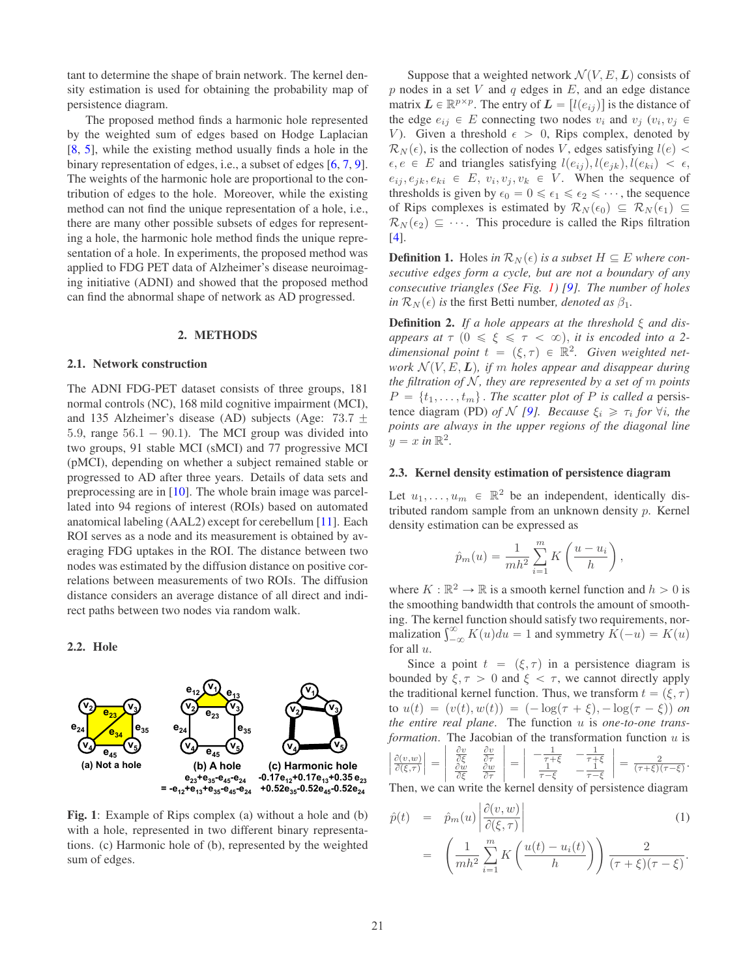tant to determine the shape of brain network. The kernel density estimation is used for obtaining the probability map of persistence diagram.

The proposed method finds a harmonic hole represented by the weighted sum of edges based on Hodge Laplacian [8, 5], while the existing method usually finds a hole in the binary representation of edges, i.e., a subset of edges [6, 7, 9]. The weights of the harmonic hole are proportional to the contribution of edges to the hole. Moreover, while the existing method can not find the unique representation of a hole, i.e., there are many other possible subsets of edges for representing a hole, the harmonic hole method finds the unique representation of a hole. In experiments, the proposed method was applied to FDG PET data of Alzheimer's disease neuroimaging initiative (ADNI) and showed that the proposed method can find the abnormal shape of network as AD progressed.

#### 2. METHODS

## 2.1. Network construction

The ADNI FDG-PET dataset consists of three groups, 181 normal controls (NC), 168 mild cognitive impairment (MCI), and 135 Alzheimer's disease (AD) subjects (Age: 73.7  $\pm$ 5.9, range  $56.1 - 90.1$ ). The MCI group was divided into two groups, 91 stable MCI (sMCI) and 77 progressive MCI (pMCI), depending on whether a subject remained stable or progressed to AD after three years. Details of data sets and preprocessing are in [10]. The whole brain image was parcellated into 94 regions of interest (ROIs) based on automated anatomical labeling (AAL2) except for cerebellum [11]. Each ROI serves as a node and its measurement is obtained by averaging FDG uptakes in the ROI. The distance between two nodes was estimated by the diffusion distance on positive correlations between measurements of two ROIs. The diffusion distance considers an average distance of all direct and indirect paths between two nodes via random walk.

## 2.2. Hole



Fig. 1: Example of Rips complex (a) without a hole and (b) with a hole, represented in two different binary representations. (c) Harmonic hole of (b), represented by the weighted sum of edges.

Suppose that a weighted network  $\mathcal{N}(V, E, L)$  consists of p nodes in a set V and q edges in  $E$ , and an edge distance matrix  $\mathbf{L} \in \mathbb{R}^{p \times p}$ . The entry of  $\mathbf{L} = [l(e_{ij})]$  is the distance of the edge  $e_{ij} \in E$  connecting two nodes  $v_i$  and  $v_j$  ( $v_i, v_j \in$ V). Given a threshold  $\epsilon > 0$ , Rips complex, denoted by  $\mathcal{R}_{\Sigma}(\epsilon)$  is the collection of nodes V edges satisfying  $l(\epsilon)$  $\mathcal{R}_N(\epsilon)$ , is the collection of nodes V, edges satisfying  $l(e)$  <  $\epsilon, e \in E$  and triangles satisfying  $l(e_{ij}), l(e_{jk}), l(e_{ki}) < \epsilon$ ,  $e_{ij}, e_{jk}, e_{ki} \in E, v_i, v_j, v_k \in V$ . When the sequence of thresholds is given by  $\epsilon_0 = 0 \le \epsilon_1 \le \epsilon_2 \le \cdots$ , the sequence<br>of Rins complexes is estimated by  $R_{\mathcal{N}}(\epsilon_0) \subset R_{\mathcal{N}}(\epsilon_1) \subset$ of Rips complexes is estimated by  $\mathcal{R}_N(\epsilon_0) \subseteq \mathcal{R}_N(\epsilon_1) \subseteq$  $\mathcal{R}_N(\epsilon_2) \subseteq \cdots$ . This procedure is called the Rips filtration [4].

**Definition 1.** Holes in  $\mathcal{R}_N(\epsilon)$  is a subset  $H \subseteq E$  where con*secutive edges form a cycle, but are not a boundary of any consecutive triangles (See Fig. 1) [9]. The number of holes*  $in \mathcal{R}_N(\epsilon)$  *is* the first Betti number, *denoted as*  $\beta_1$ *.* 

Definition 2. *If a hole appears at the threshold* ξ *and disappears at*  $\tau$  ( $0 \le \xi \le \tau < \infty$ ), *it is encoded into a 2dimensional point*  $t = (\xi, \tau) \in \mathbb{R}^2$ . *Given weighted network*  $\mathcal{N}(V, E, L)$ *, if* m *holes appear and disappear during the filtration of*  $N$ *, they are represented by a set of m points*  $P = \{t_1, \ldots, t_m\}$ . *The scatter plot of* P *is called a* persistence diagram (PD) *of* N [9]. Because  $\xi_i \geq \tau_i$  for  $\forall i$ , the *points are always in the upper regions of the diagonal line*  $y = x \text{ in } \mathbb{R}^2$ .

#### 2.3. Kernel density estimation of persistence diagram

Let  $u_1, \ldots, u_m \in \mathbb{R}^2$  be an independent, identically distributed random sample from an unknown density p. Kernel density estimation can be expressed as

$$
\hat{p}_m(u) = \frac{1}{mh^2} \sum_{i=1}^m K\left(\frac{u - u_i}{h}\right),\,
$$

where  $K : \mathbb{R}^2 \to \mathbb{R}$  is a smooth kernel function and  $h > 0$  is the smoothing bandwidth that controls the amount of smoothing. The kernel function should satisfy two requirements, normalization  $\int_{-\infty}^{\infty} K(u) du = 1$  and symmetry  $K(-u) = K(u)$ for all  $u$ .

Since a point  $t = (\xi, \tau)$  in a persistence diagram is bounded by  $\xi, \tau > 0$  and  $\xi < \tau$ , we cannot directly apply the traditional kernel function. Thus, we transform  $t = (\xi, \tau)$ to  $u(t) = (v(t), w(t)) = (-\log(\tau + \xi), -\log(\tau - \xi))$  on *the entire real plane*. The function u is *one-to-one transformation*. The Jacobian of the transformation function  $u$  is

$$
\left|\frac{\partial(v,w)}{\partial(\xi,\tau)}\right| = \left|\begin{array}{cc} \frac{\partial v}{\partial \xi} & \frac{\partial v}{\partial \tau} \\ \frac{\partial w}{\partial \xi} & \frac{\partial w}{\partial \tau} \end{array}\right| = \left|\begin{array}{cc} -\frac{1}{\tau+\xi} & -\frac{1}{\tau+\xi} \\ \frac{1}{\tau-\xi} & -\frac{1}{\tau-\xi} \end{array}\right| = \frac{2}{(\tau+\xi)(\tau-\xi)}.
$$
\nThen, we can write the **kernel density of**  $\tau$  **consistency diagram**

Then, we can write the kernel density of persistence diagram\n
$$
|2(\mu, \mu)|
$$

$$
\hat{p}(t) = \hat{p}_m(u) \left| \frac{\partial(v, w)}{\partial(\xi, \tau)} \right| \tag{1}
$$

$$
= \left(\frac{1}{mh^2}\sum_{i=1}^m K\left(\frac{u(t)-u_i(t)}{h}\right)\right)\frac{2}{(\tau+\xi)(\tau-\xi)}.
$$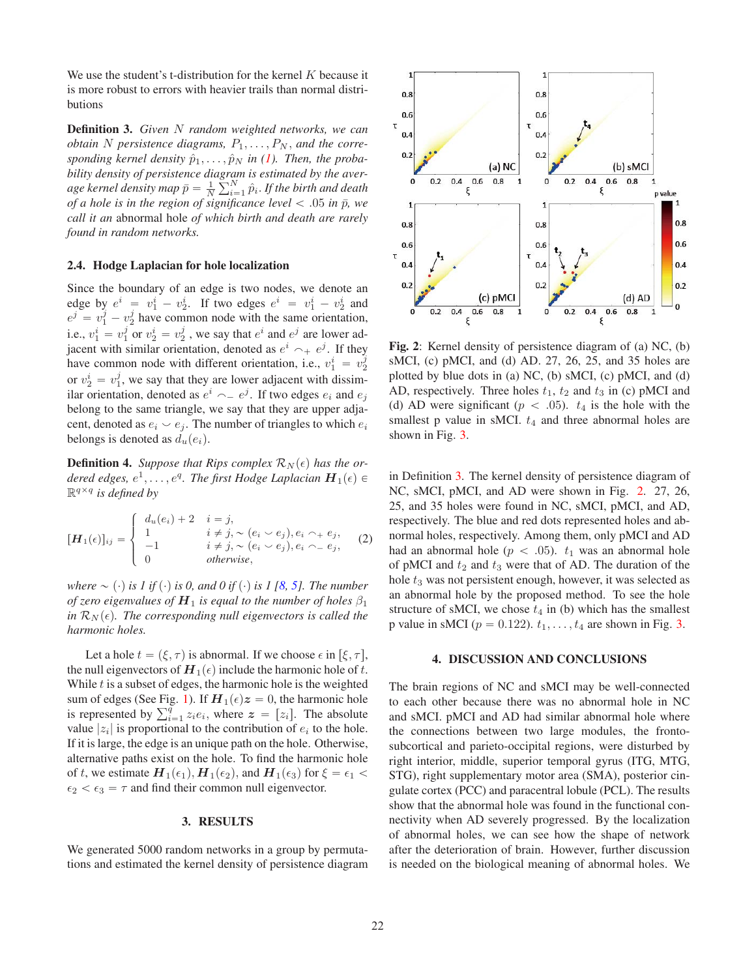We use the student's t-distribution for the kernel  $K$  because it is more robust to errors with heavier trails than normal distributions

Definition 3. *Given* N *random weighted networks, we can obtain* N persistence diagrams,  $P_1, \ldots, P_N$ , and the corresponding kernel density  $\hat{p}_1, \ldots, \hat{p}_N$  in (1). Then, the proba*bility density of persistence diagram is estimated by the aver*age kernel density map  $\bar{p} = \frac{1}{N} \sum_{i=1}^{N} \hat{p}_i$ . If the birth and death of a hole is in the region of significance level  $\leq 05$  in  $\bar{n}$ , we *of a hole is in the region of significance level*  $\lt$  .05 *in*  $\bar{p}$ *, we call it an* abnormal hole *of which birth and death are rarely found in random networks.*

## 2.4. Hodge Laplacian for hole localization

Since the boundary of an edge is two nodes, we denote an edge by  $e^i = v_1^i - v_2^i$ . If two edges  $e^i = v_1^i - v_2^i$  and  $e^j = v_1^j - v_2^j$  have common node with the same orientation, i.e.,  $v_1^i = v_1^j$  or  $v_2^i = v_2^j$ , we say that  $e^i$  and  $e^j$  are lower adjacent with similar orientation, denoted as  $e^i \rightarrow e^j$ . If they have common node with different orientation, i.e.,  $v_1^i = v_2^j$ or  $v_2^i = v_1^j$ , we say that they are lower adjacent with dissimilar orientation, denoted as  $e^i$   $\sim$   $e^j$ . If two edges  $e_i$  and  $e_j$ belong to the same triangle, we say that they are upper adjacent, denoted as  $e_i \smile e_j$ . The number of triangles to which  $e_i$ belongs is denoted as  $d_u(e_i)$ .

**Definition 4.** Suppose that Rips complex  $\mathcal{R}_N(\epsilon)$  has the or*dered edges,*  $e^1, \ldots, e^q$ . The first Hodge Laplacian  $\boldsymbol{H}_1(\epsilon)$   $\in$  $\mathbb{R}^{q \times q}$  *is defined by* 

$$
[\boldsymbol{H}_1(\epsilon)]_{ij} = \begin{cases} d_u(e_i) + 2 & i = j, \\ 1 & i \neq j, \sim (e_i \sim e_j), e_i \sim e_j, \\ -1 & i \neq j, \sim (e_i \sim e_j), e_i \sim e_j, \\ 0 & otherwise, \end{cases} \tag{2}
$$

*where*  $\sim$  (·) *is 1 if* (·) *is 0, and 0 if* (·) *is 1 [8, 5]. The number of zero eigenvalues of*  $H_1$  *is equal to the number of holes*  $\beta_1$  $\ln R_N(\epsilon)$ . The corresponding null eigenvectors is called the *harmonic holes.*

Let a hole  $t = (\xi, \tau)$  is abnormal. If we choose  $\epsilon$  in  $[\xi, \tau]$ , the null eigenvectors of  $H_1(\epsilon)$  include the harmonic hole of  $\tilde{t}$ . While  $t$  is a subset of edges, the harmonic hole is the weighted sum of edges (See Fig. 1). If  $H_1(\epsilon)z = 0$ , the harmonic hole<br>is represented by  $\sum_{i=1}^{q} z_i e_i$ , where  $z = [z_i]$ . The absolute is represented by  $\sum_{i=1}^{q} z_i e_i$ , where  $z = [z_i]$ . The absolute value  $|z_i|$  is proportional to the contribution of  $e_i$  to the hole. If it is large, the edge is an unique path on the hole. Otherwise, alternative paths exist on the hole. To find the harmonic hole of t, we estimate  $H_1(\epsilon_1)$ ,  $H_1(\epsilon_2)$ , and  $H_1(\epsilon_3)$  for  $\xi = \epsilon_1$  $\epsilon_2 < \epsilon_3 = \tau$  and find their common null eigenvector.

## 3. RESULTS

We generated 5000 random networks in a group by permutations and estimated the kernel density of persistence diagram



Fig. 2: Kernel density of persistence diagram of (a) NC, (b) sMCI, (c) pMCI, and (d) AD. 27, 26, 25, and 35 holes are plotted by blue dots in (a) NC, (b) sMCI, (c) pMCI, and (d) AD, respectively. Three holes  $t_1$ ,  $t_2$  and  $t_3$  in (c) pMCI and (d) AD were significant ( $p < .05$ ).  $t_4$  is the hole with the smallest p value in sMCI.  $t_4$  and three abnormal holes are shown in Fig. 3.

in Definition 3. The kernel density of persistence diagram of NC, sMCI, pMCI, and AD were shown in Fig. 2. 27, 26, 25, and 35 holes were found in NC, sMCI, pMCI, and AD, respectively. The blue and red dots represented holes and abnormal holes, respectively. Among them, only pMCI and AD had an abnormal hole ( $p < .05$ ).  $t_1$  was an abnormal hole of pMCI and  $t_2$  and  $t_3$  were that of AD. The duration of the hole  $t_3$  was not persistent enough, however, it was selected as an abnormal hole by the proposed method. To see the hole structure of sMCI, we chose  $t_4$  in (b) which has the smallest p value in sMCI ( $p = 0.122$ ).  $t_1, \ldots, t_4$  are shown in Fig. 3.

## 4. DISCUSSION AND CONCLUSIONS

The brain regions of NC and sMCI may be well-connected to each other because there was no abnormal hole in NC and sMCI. pMCI and AD had similar abnormal hole where the connections between two large modules, the frontosubcortical and parieto-occipital regions, were disturbed by right interior, middle, superior temporal gyrus (ITG, MTG, STG), right supplementary motor area (SMA), posterior cingulate cortex (PCC) and paracentral lobule (PCL). The results show that the abnormal hole was found in the functional connectivity when AD severely progressed. By the localization of abnormal holes, we can see how the shape of network after the deterioration of brain. However, further discussion is needed on the biological meaning of abnormal holes. We